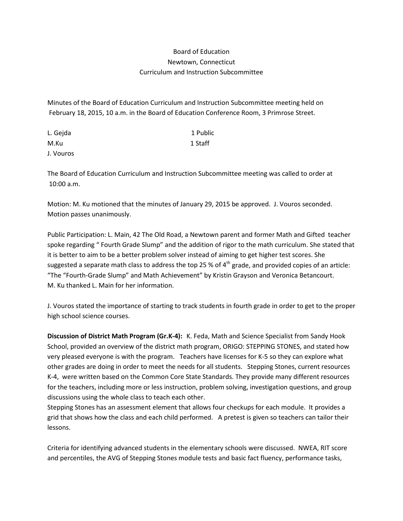## Board of Education Newtown, Connecticut Curriculum and Instruction Subcommittee

Minutes of the Board of Education Curriculum and Instruction Subcommittee meeting held on February 18, 2015, 10 a.m. in the Board of Education Conference Room, 3 Primrose Street.

| L. Gejda  | 1 Public |
|-----------|----------|
| M.Ku      | 1 Staff  |
| J. Vouros |          |

The Board of Education Curriculum and Instruction Subcommittee meeting was called to order at 10:00 a.m.

Motion: M. Ku motioned that the minutes of January 29, 2015 be approved. J. Vouros seconded. Motion passes unanimously.

Public Participation: L. Main, 42 The Old Road, a Newtown parent and former Math and Gifted teacher spoke regarding " Fourth Grade Slump" and the addition of rigor to the math curriculum. She stated that it is better to aim to be a better problem solver instead of aiming to get higher test scores. She suggested a separate math class to address the top 25 % of  $4<sup>th</sup>$  grade, and provided copies of an article: "The "Fourth-Grade Slump" and Math Achievement" by Kristin Grayson and Veronica Betancourt. M. Ku thanked L. Main for her information.

J. Vouros stated the importance of starting to track students in fourth grade in order to get to the proper high school science courses.

**Discussion of District Math Program (Gr.K-4):** K. Feda, Math and Science Specialist from Sandy Hook School, provided an overview of the district math program, ORIGO: STEPPING STONES, and stated how very pleased everyone is with the program. Teachers have licenses for K-5 so they can explore what other grades are doing in order to meet the needs for all students. Stepping Stones, current resources K-4, were written based on the Common Core State Standards. They provide many different resources for the teachers, including more or less instruction, problem solving, investigation questions, and group discussions using the whole class to teach each other.

Stepping Stones has an assessment element that allows four checkups for each module. It provides a grid that shows how the class and each child performed. A pretest is given so teachers can tailor their lessons.

Criteria for identifying advanced students in the elementary schools were discussed. NWEA, RIT score and percentiles, the AVG of Stepping Stones module tests and basic fact fluency, performance tasks,